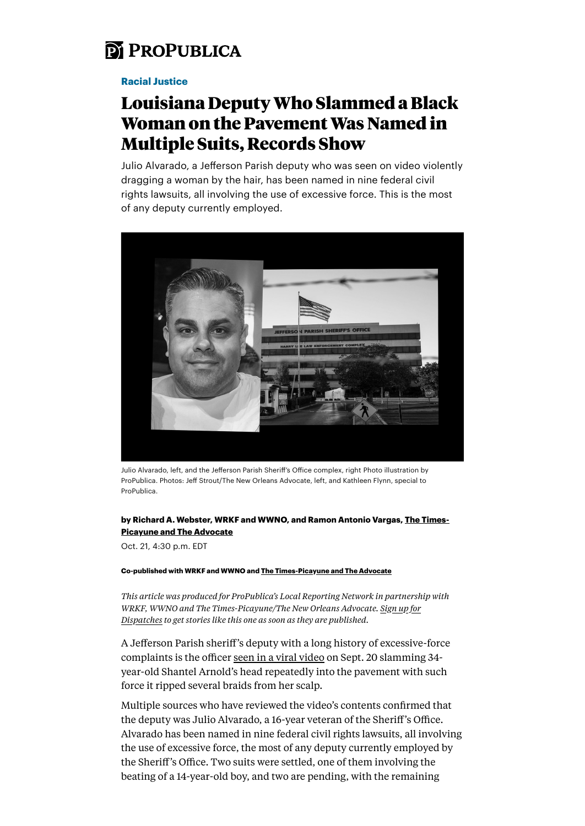

## [Racial Justice](https://www.propublica.org/topics/racial-justice)

# Louisiana Deputy Who Slammed a Black Woman on the Pavement Was Named in Multiple Suits, Records Show

Julio Alvarado, a Jefferson Parish deputy who was seen on video violently dragging a woman by the hair, has been named in nine federal civil rights lawsuits, all involving the use of excessive force. This is the most of any deputy currently employed.



Julio Alvarado, left, and the Jefferson Parish Sheriff's O�ice complex, right Photo illustration by ProPublica. Photos: Jeff Strout/The New Orleans Advocate, left, and Kathleen Flynn, special to ProPublica.

### by Richard A. Webster, WRKF and WWNO, and Ramon Antonio Vargas, [The Times-](http://www.theadvocate.com/)[Picayune and The Advocate](http://www.theadvocate.com/)

Oct. 21, 4:30 p.m. EDT

#### Co-published with WRKF and WWNO and [The Times-Picayune and The Advocate](http://www.theadvocate.com/)

*This article was produced for ProPublica's Local Reporting Network in partnership with WRKF, WWNO and The Times-Picayune/The New Orleans Advocate. [Sign up for](https://www.propublica.org/newsletters/dispatches) [Dispatches](https://www.propublica.org/newsletters/dispatches) to get stories like this one as soon as they are published.*

A Jefferson Parish sheriff's deputy with a long history of excessive-force complaints is the officer [seen in a viral video](https://www.propublica.org/article/three-children-attacked-a-black-woman-a-sheriffs-deputy-arrived-and-beat-her-more) on Sept. 20 slamming 34 year-old Shantel Arnold's head repeatedly into the pavement with such force it ripped several braids from her scalp.

Multiple sources who have reviewed the video's contents confirmed that the deputy was Julio Alvarado, a 16-year veteran of the Sheriff's Office. Alvarado has been named in nine federal civil rights lawsuits, all involving the use of excessive force, the most of any deputy currently employed by the Sheriff's Office. Two suits were settled, one of them involving the beating of a 14-year-old boy, and two are pending, with the remaining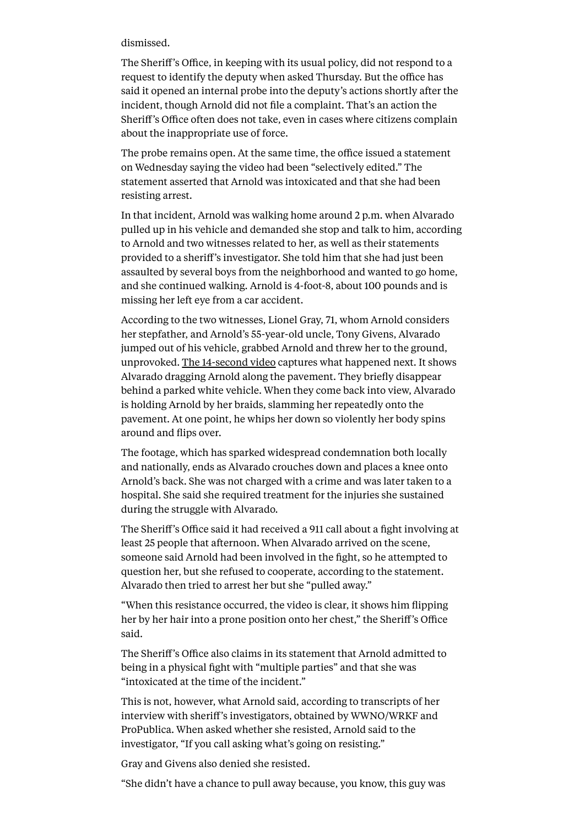#### dismissed.

The Sheriff's Office, in keeping with its usual policy, did not respond to a request to identify the deputy when asked Thursday. But the office has said it opened an internal probe into the deputy's actions shortly after the incident, though Arnold did not file a complaint. That's an action the Sheriff's Office often does not take, even in cases where citizens complain about the inappropriate use of force.

The probe remains open. At the same time, the office issued a statement on Wednesday saying the video had been "selectively edited." The statement asserted that Arnold was intoxicated and that she had been resisting arrest.

In that incident, Arnold was walking home around 2 p.m. when Alvarado pulled up in his vehicle and demanded she stop and talk to him, according to Arnold and two witnesses related to her, as well as their statements provided to a sheriff's investigator. She told him that she had just been assaulted by several boys from the neighborhood and wanted to go home, and she continued walking. Arnold is 4-foot-8, about 100 pounds and is missing her left eye from a car accident.

According to the two witnesses, Lionel Gray, 71, whom Arnold considers her stepfather, and Arnold's 55-year-old uncle, Tony Givens, Alvarado jumped out of his vehicle, grabbed Arnold and threw her to the ground, unprovoked. [The 14-second video](https://www.instagram.com/p/CUD3LIDDAJW/?utm_medium=copy_link) captures what happened next. It shows Alvarado dragging Arnold along the pavement. They briefly disappear behind a parked white vehicle. When they come back into view, Alvarado is holding Arnold by her braids, slamming her repeatedly onto the pavement. At one point, he whips her down so violently her body spins around and flips over.

The footage, which has sparked widespread condemnation both locally and nationally, ends as Alvarado crouches down and places a knee onto Arnold's back. She was not charged with a crime and was later taken to a hospital. She said she required treatment for the injuries she sustained during the struggle with Alvarado.

The Sheriff's Office said it had received a 911 call about a fight involving at least 25 people that afternoon. When Alvarado arrived on the scene, someone said Arnold had been involved in the fight, so he attempted to question her, but she refused to cooperate, according to the statement. Alvarado then tried to arrest her but she "pulled away."

"When this resistance occurred, the video is clear, it shows him flipping her by her hair into a prone position onto her chest," the Sheriff's Office said.

The Sheriff's Office also claims in its statement that Arnold admitted to being in a physical fight with "multiple parties" and that she was "intoxicated at the time of the incident."

This is not, however, what Arnold said, according to transcripts of her interview with sheriff's investigators, obtained by WWNO/WRKF and ProPublica. When asked whether she resisted, Arnold said to the investigator, "If you call asking what's going on resisting."

Gray and Givens also denied she resisted.

"She didn't have a chance to pull away because, you know, this guy was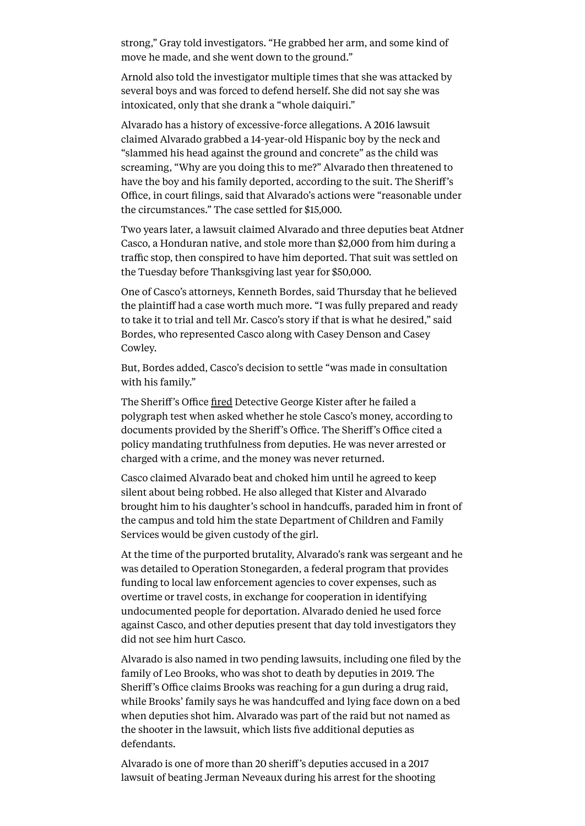strong," Gray told investigators. "He grabbed her arm, and some kind of move he made, and she went down to the ground."

Arnold also told the investigator multiple times that she was attacked by several boys and was forced to defend herself. She did not say she was intoxicated, only that she drank a "whole daiquiri."

Alvarado has a history of excessive-force allegations. A 2016 lawsuit claimed Alvarado grabbed a 14-year-old Hispanic boy by the neck and "slammed his head against the ground and concrete" as the child was screaming, "Why are you doing this to me?" Alvarado then threatened to have the boy and his family deported, according to the suit. The Sheriff's Office, in court filings, said that Alvarado's actions were "reasonable under the circumstances." The case settled for \$15,000.

Two years later, a lawsuit claimed Alvarado and three deputies beat Atdner Casco, a Honduran native, and stole more than \$2,000 from him during a traffic stop, then conspired to have him deported. That suit was settled on the Tuesday before Thanksgiving last year for \$50,000.

One of Casco's attorneys, Kenneth Bordes, said Thursday that he believed the plaintiff had a case worth much more. "I was fully prepared and ready to take it to trial and tell Mr. Casco's story if that is what he desired," said Bordes, who represented Casco along with Casey Denson and Casey Cowley.

But, Bordes added, Casco's decision to settle "was made in consultation with his family."

The Sheriff's Office fi[red](https://www.nola.com/news/crime_police/article_e406cf75-42b0-5f67-bfcf-0e1575620efe.html) Detective George Kister after he failed a polygraph test when asked whether he stole Casco's money, according to documents provided by the Sheriff's Office. The Sheriff's Office cited a policy mandating truthfulness from deputies. He was never arrested or charged with a crime, and the money was never returned.

Casco claimed Alvarado beat and choked him until he agreed to keep silent about being robbed. He also alleged that Kister and Alvarado brought him to his daughter's school in handcuffs, paraded him in front of the campus and told him the state Department of Children and Family Services would be given custody of the girl.

At the time of the purported brutality, Alvarado's rank was sergeant and he was detailed to Operation Stonegarden, a federal program that provides funding to local law enforcement agencies to cover expenses, such as overtime or travel costs, in exchange for cooperation in identifying undocumented people for deportation. Alvarado denied he used force against Casco, and other deputies present that day told investigators they did not see him hurt Casco.

Alvarado is also named in two pending lawsuits, including one filed by the family of Leo Brooks, who was shot to death by deputies in 2019. The Sheriff's Office claims Brooks was reaching for a gun during a drug raid, while Brooks' family says he was handcuffed and lying face down on a bed when deputies shot him. Alvarado was part of the raid but not named as the shooter in the lawsuit, which lists five additional deputies as defendants.

Alvarado is one of more than 20 sheriff's deputies accused in a 2017 lawsuit of beating Jerman Neveaux during his arrest for the shooting